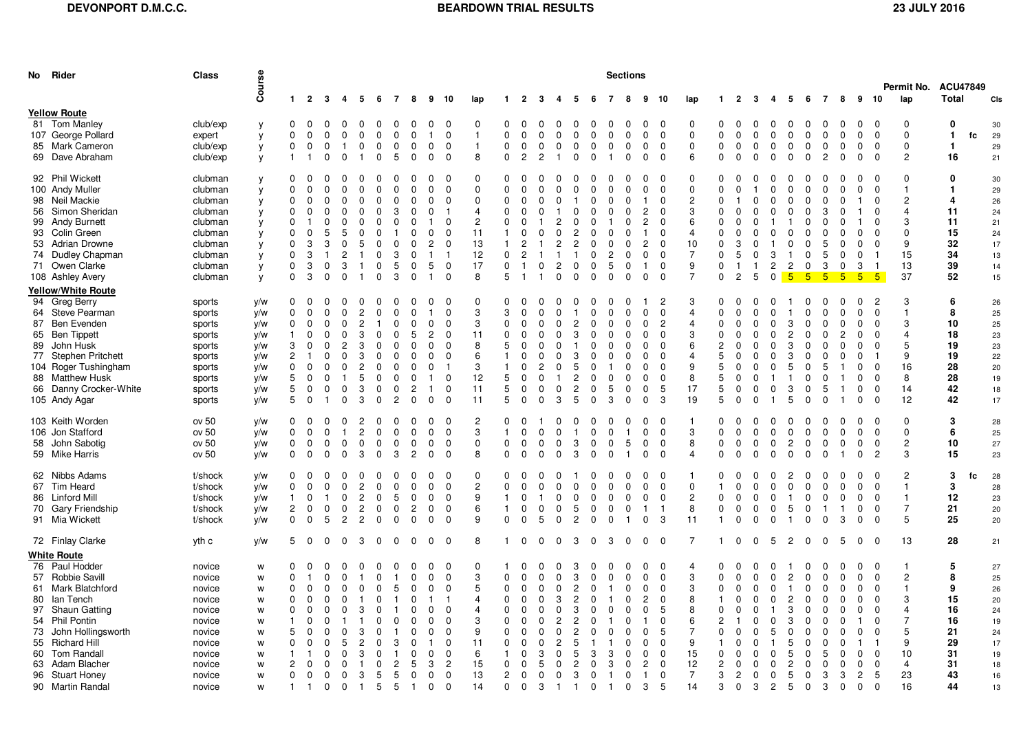|    | No Rider                       | Class              |            |                  |                         |                                     |                                  |                             |                |                |                |                            |                               |              |                |                  | <b>Sections</b><br>Permit No. ACU47849 |                                |                                |                          |                |                         |                   |                |                |              |                         |                  |                                              |                |               |                |                      |                         |    |          |
|----|--------------------------------|--------------------|------------|------------------|-------------------------|-------------------------------------|----------------------------------|-----------------------------|----------------|----------------|----------------|----------------------------|-------------------------------|--------------|----------------|------------------|----------------------------------------|--------------------------------|--------------------------------|--------------------------|----------------|-------------------------|-------------------|----------------|----------------|--------------|-------------------------|------------------|----------------------------------------------|----------------|---------------|----------------|----------------------|-------------------------|----|----------|
|    |                                |                    | Course     | $\mathbf{1}$     | $\overline{2}$          | $\mathbf{3}$<br>-4                  | 5                                | 6                           | $\overline{7}$ | 8              | $9 - 10$       |                            | lap                           | $\mathbf{1}$ | $\overline{2}$ | $\mathbf{3}$     | 4                                      | 5<br>- 6                       | 7                              | 8                        | 9              | 10                      | lap               | $\mathbf{1}$   | $\overline{2}$ | -3           | -4                      | 5                | $\overline{7}$<br>- 6                        | 8              | 9             | 10             | lap                  | Total                   |    | CIs      |
|    | <b>Yellow Route</b>            |                    |            |                  |                         |                                     |                                  |                             |                |                |                |                            |                               |              |                |                  |                                        |                                |                                |                          |                |                         |                   |                |                |              |                         |                  |                                              |                |               |                |                      |                         |    |          |
|    | 81 Tom Manley                  | club/exp           | y          | 0                | $\Omega$                | $\mathbf 0$                         | $\Omega$<br>$\Omega$             | $\mathbf 0$                 | $\Omega$       | $\Omega$       | $\Omega$       | $\Omega$                   | $\mathbf 0$                   | $\Omega$     | $\Omega$       | $\Omega$         | $\Omega$                               | $\Omega$<br>$\Omega$           | $\Omega$                       | 0                        | $\Omega$       | $\Omega$                | $\mathbf 0$       | $\mathbf 0$    | $\Omega$       | $\Omega$     | $\mathbf 0$             | $\mathbf 0$      | $\Omega$<br>$\mathbf 0$                      | $\Omega$       | $\Omega$      | $\Omega$       | $\Omega$             | $\mathbf 0$             |    | 30       |
|    | 107 George Pollard             | expert             | y          | $\Omega$         | $\Omega$                | $\Omega$<br>$\Omega$                | $\Omega$                         | $\Omega$                    | $\mathbf 0$    | $\Omega$       | $\mathbf{1}$   | $\Omega$                   | $\overline{1}$                | $\Omega$     | $\Omega$       | $\Omega$         | $\Omega$                               | $\Omega$<br>$\Omega$           |                                | $\Omega$<br>$\Omega$     | $\mathbf 0$    | $\Omega$                | $\Omega$          | $\Omega$       | $\Omega$       | $\Omega$     | $\mathbf 0$             | $\Omega$         | $\Omega$<br>$\Omega$                         | $\Omega$       | $\Omega$      | $\Omega$       | $\Omega$             | $\mathbf{1}$            | fc | 29       |
|    | 85 Mark Cameron                | club/exp           | у          | $\mathbf 0$      | $\mathbf 0$             | $\mathbf 0$<br>$\overline{1}$       | $\mathbf 0$                      | $\mathbf 0$                 | 0              | 0              | $\mathbf 0$    | $\mathbf{0}$               | $\overline{1}$                | $\Omega$     | $\mathbf 0$    | $\mathbf 0$      | $\mathbf 0$                            | $\mathbf 0$<br>$\mathbf 0$     | 0                              | $\mathbf 0$              | 0              | $\mathbf 0$             | $\mathbf 0$       | $\mathbf 0$    | $\mathbf 0$    | $\Omega$     | 0                       | $\mathbf 0$      | $\mathbf 0$<br>$\mathbf 0$                   | $\mathbf 0$    | $\mathbf 0$   | $\mathbf 0$    | $\mathbf 0$          | $\mathbf{1}$            |    | 29       |
|    | 69 Dave Abraham                | club/exp           | y          | $\overline{1}$   |                         | $\Omega$                            | $\Omega$<br>$\mathbf{1}$         | $\mathbf 0$                 | 5              | $\mathbf 0$    | $\Omega$       | $\Omega$                   | 8                             | $\Omega$     | $\overline{2}$ | $\overline{2}$   |                                        | $\Omega$                       | $\Omega$<br>-1                 | $\Omega$                 | $\mathbf 0$    | $\Omega$                | 6                 | $\Omega$       | $\Omega$       | $\Omega$     | $\Omega$                | $\mathbf 0$      | $\Omega$<br>$\overline{2}$                   | $\mathbf 0$    | $\Omega$      | $\Omega$       | $\overline{2}$       | 16                      |    | 21       |
|    |                                |                    |            |                  |                         |                                     |                                  |                             |                |                |                |                            |                               |              |                |                  |                                        |                                |                                |                          |                |                         |                   |                |                |              |                         |                  |                                              |                |               |                |                      |                         |    |          |
|    | 92 Phil Wickett                | clubman            | у          | 0                | $\Omega$                | $\Omega$<br>0                       | n                                | <sup>0</sup>                | <sup>0</sup>   | <sup>0</sup>   | $\Omega$       | $\Omega$                   | $\mathbf{0}$                  | $\Omega$     | $\Omega$       | $\Omega$         |                                        | $\Omega$<br>0                  |                                |                          | $\Omega$       | $\Omega$                | $\mathbf 0$       | $\Omega$       | 0              |              | $\Omega$                | $\Omega$         | -0                                           | 0              | 0             | $\Omega$       | $\Omega$             | 0                       |    | 30       |
|    | 100 Andy Muller                | clubman            | у          | $\Omega$         | $\Omega$                | $\Omega$<br>$\Omega$                | <sup>0</sup>                     | $\Omega$                    | $\Omega$       | $\Omega$       | $\Omega$       | $\mathbf 0$                | $\mathbf 0$                   | $\Omega$     | $\Omega$       | $\Omega$         | $\Omega$                               | $\Omega$<br>$\Omega$           |                                | $\Omega$<br>0            | $\mathbf 0$    | $\Omega$                | $\mathbf 0$       | $\Omega$       | $\Omega$       |              | $\Omega$                | $\Omega$         | $\Omega$<br><sup>0</sup>                     | $\Omega$       | 0             | $\Omega$       | $\mathbf{1}$         | $\mathbf{1}$            |    | 29       |
|    | 98 Neil Mackie                 | clubman            | у          | 0                | $\Omega$                | $\Omega$<br>$\Omega$                |                                  | $\Omega$                    |                | O              | $\Omega$       | $\Omega$                   | $\mathbf 0$                   | <sup>0</sup> | $\Omega$       | $\Omega$         |                                        | $\Omega$                       |                                |                          |                | $\Omega$                | $\mathbf{2}$      | <sup>0</sup>   |                |              | <sup>0</sup>            | $\Omega$         | $\Omega$                                     | O              |               | $\Omega$       | $\mathcal{P}$        | $\overline{\mathbf{4}}$ |    | 26       |
|    | 56 Simon Sheridan              | clubman            | у          | $\Omega$         | $\Omega$                | $\Omega$<br>$\Omega$                | n                                | $\Omega$                    | 3              | <sup>0</sup>   | $\Omega$       |                            | $\overline{4}$                | $\Omega$     | $\Omega$       | $\Omega$         |                                        | $\Omega$<br>$\Omega$           |                                |                          | $\overline{2}$ | $\Omega$                | 3                 | $\Omega$       | $\Omega$       |              | $\Omega$                | $\Omega$         | 3                                            | 0              |               | $\Omega$       | 4                    | 11                      |    | 24       |
|    | 99 Andy Burnett                | clubman            | у          | $\Omega$         |                         | $\Omega$<br><sup>0</sup>            | $\Omega$                         | $\Omega$                    | $\Omega$       | <sup>0</sup>   | -1             | $\Omega$                   | $\overline{c}$                | $\Omega$     | $\Omega$       |                  | 2                                      | $\Omega$                       | 0                              | <sup>0</sup>             | $\overline{c}$ | $\Omega$                | 6                 | $\Omega$       | $\Omega$       | $\Omega$     | -1                      |                  | $\Omega$<br>n                                | 0              |               | $\Omega$       | 3                    | 11                      |    | 21       |
|    | 93 Colin Green                 | clubman            | y          | $\mathbf 0$      | $\Omega$                | 5<br>5                              | ∩                                | $\Omega$                    |                | 0              | $\Omega$       | $\Omega$                   | 11                            | $\mathbf{1}$ | <sup>0</sup>   | $\Omega$         | $\Omega$                               | $\overline{c}$<br>$\Omega$     |                                |                          |                | $\Omega$                | 4                 | $\Omega$       | $\Omega$       |              | $\Omega$                | $\Omega$         | $\Omega$                                     | $\Omega$       | $\Omega$      | $\Omega$       | $\Omega$             | 15                      |    | 24       |
|    | 53 Adrian Drowne               | clubman            | у          | $\mathbf 0$      | 3                       | 3<br>0                              | 5                                | 0                           | 0              | $\Omega$       | $\overline{2}$ | $\Omega$                   | 13                            | $\mathbf{1}$ | $\overline{c}$ | -1               | $\overline{2}$                         | $\overline{2}$                 | 0                              | $\Omega$<br>0            | $\overline{2}$ | $\mathbf 0$             | 10                | $\Omega$       | 3              | $\Omega$     | -1                      | 0                | 5<br><sup>0</sup>                            | $\Omega$       | $\Omega$      | $\Omega$       | 9                    | 32                      |    | 17       |
|    | 74 Dudley Chapman              | clubman            | у          | $\Omega$         | 3                       | $\overline{1}$                      | $\overline{2}$<br>-1             | $\mathbf 0$                 | 3              | $\Omega$       | -1             | -1                         | 12                            | $\Omega$     | $\overline{2}$ | - 1              |                                        | $\mathbf{1}$                   | $\mathbf 0$<br>$\overline{2}$  | $\Omega$                 | $\Omega$       | $\Omega$                | $\overline{7}$    | $\Omega$       | 5              | $\Omega$     | 3                       | $\overline{1}$   | 5<br>$\Omega$                                | $\mathbf 0$    | 0             | -1             | 15                   | 34                      |    | 13       |
|    | 71 Owen Clarke                 | clubman            | у          | $\Omega$         | 3                       | $\Omega$                            | 3<br>-1                          | $\Omega$                    | 5              | $\Omega$       | 5              | $\Omega$                   | 17                            | $\Omega$     | $\mathbf{1}$   | $\Omega$         | $\overline{c}$                         | $\Omega$<br>$\Omega$           | 5                              | $\Omega$                 | -1             | $\Omega$                | 9                 | $\Omega$       | $\mathbf{1}$   | $\mathbf{1}$ | $\overline{c}$          | $\overline{2}$   | 3<br>$\Omega$                                | $\mathbf 0$    | 3             | -1             | 13                   | 39                      |    | 14       |
|    | 108 Ashley Avery               | clubman            | y          | $\mathbf 0$      | 3                       | $\Omega$                            | $\Omega$<br>-1                   | $\mathbf 0$                 | 3              | $\Omega$       |                | $\Omega$                   | 8                             | 5            | -1             | -1               | $\Omega$                               | $\mathbf 0$<br>$\mathbf 0$     | $\Omega$                       | $\Omega$                 | 0              | $\Omega$                | $\overline{7}$    | $\mathbf 0$    | $\overline{c}$ | 5            | $\mathbf 0$             | 5 <sub>5</sub>   | $5\overline{)}$<br>$\sqrt{5}$                | $5^{\circ}$    | 5             | 5              | 37                   | 52                      |    | 15       |
|    | <b>Yellow/White Route</b>      |                    |            |                  |                         |                                     |                                  |                             |                |                |                |                            |                               |              |                |                  |                                        |                                |                                |                          |                |                         |                   |                |                |              |                         |                  |                                              |                |               |                |                      |                         |    |          |
|    | 94 Greg Berry                  | sports             | y/w        | 0                | $\Omega$                | $\Omega$<br>0                       | 0                                | 0                           | 0              | <sup>0</sup>   | $\Omega$       | $\Omega$                   | $\mathbf{0}$                  | $\Omega$     | $\Omega$       | $\Omega$         |                                        | $\Omega$<br>0                  | O                              | <sup>0</sup>             |                | $\overline{c}$          | 3                 | <sup>0</sup>   | <sup>0</sup>   |              | <sup>0</sup>            |                  | $\Omega$<br><sup>0</sup>                     | 0              | 0             | -2             | 3                    | 6                       |    | 26       |
|    | 64 Steve Pearman               | sports             | y/w        | $\Omega$         | $\Omega$                | $\Omega$                            | $\Omega$<br>$\overline{c}$       | $\Omega$                    | $\Omega$       | $\Omega$       | -1             | $\Omega$                   | 3                             | 3            | $\Omega$       | $\Omega$         | $\Omega$                               |                                | $\Omega$<br>$\Omega$           | $\Omega$                 | $\Omega$       | $\Omega$                | 4                 | $\Omega$       | $\Omega$       | $\Omega$     | $\Omega$                | $\mathbf{1}$     | $\Omega$<br>$\Omega$                         | $\Omega$       | $\Omega$      | $\Omega$       | -1                   | 8                       |    | 25       |
| 87 | Ben Evenden                    | sports             | y/w        | 0                | $\Omega$                | $\Omega$<br>$\Omega$                | 2                                | -1                          | $\Omega$       | $\Omega$       | $\Omega$       | 0                          | 3                             | $\Omega$     | $\Omega$       | $\Omega$         | $\Omega$                               | $\overline{c}$<br>$\Omega$     |                                | $\Omega$<br>0            | $\Omega$       | $\overline{c}$          | 4                 | $\Omega$       | $\Omega$       | <sup>0</sup> | <sup>0</sup>            | 3                | $\Omega$<br><sup>0</sup>                     | 0              | $\Omega$      | $\Omega$       | 3                    | 10                      |    | 25       |
|    | 65 Ben Tippett                 | sports             | y/w        | -1               | $\Omega$                | $\Omega$<br>$\Omega$                | 3                                | $\Omega$                    | ŋ              | 5              | $\mathbf{2}$   | $\Omega$                   | 11                            | $\Omega$     |                | $\Omega$         |                                        | 3<br>0                         |                                |                          | $\Omega$       | $\Omega$                | 3                 | $\Omega$       | $\Omega$       |              | $\Omega$                | $\mathbf{2}$     | $\Omega$                                     | 2              |               | $\Omega$       |                      | 18                      |    | 23       |
|    | 89 John Husk                   | sports             | y/w        | 3                | $\Omega$                | $\overline{2}$<br>$\Omega$          | 3                                | $\Omega$                    | $\Omega$       | <sup>0</sup>   | $\Omega$       | $\Omega$                   | 8                             | 5            | <sup>0</sup>   | $\Omega$         |                                        | $\Omega$                       |                                |                          | <sup>0</sup>   | $\Omega$                | 6                 | $\mathfrak{p}$ | $\Omega$       |              | $\Omega$                | 3                | $\Omega$                                     | 0              |               | $\Omega$       | 5                    | 19                      |    | 23       |
|    | 77 Stephen Pritchett           | sports             | y/w        | 2                |                         | 0                                   | $\Omega$<br>3                    | 0                           | $\Omega$       | $\Omega$       | $\Omega$       | $\Omega$                   | 6                             |              |                | $\Omega$         |                                        | 3<br>$\Omega$                  |                                | $\Omega$                 | <sup>0</sup>   | $\Omega$                | 4                 | 5              | $\Omega$       |              | $\Omega$                | 3                | $\Omega$                                     | O              |               |                | 9                    | 19                      |    | 22       |
|    | 104 Roger Tushingham           | sports             | y/w        | 0                | $\Omega$                | $\Omega$                            | 0<br>2                           | 0                           | $\Omega$       | $\Omega$       | $\Omega$       | -1                         | 3                             |              | n              | 2                |                                        | 5                              | 0                              | n                        | $\Omega$       | $\Omega$                | 9                 | 5              | $\Omega$       | ∩            | $\Omega$                | 5                | 5                                            |                | <sup>0</sup>  | $\Omega$       | 16                   | 28                      |    | 20       |
|    | 88 Matthew Husk                | sports             | y/w        | 5                | $\Omega$                | 0<br>$\mathbf{1}$                   | 5                                | 0                           | $\Omega$       | 0              | $\mathbf{1}$   | 0                          | 12                            | 5            | $\Omega$       | 0                |                                        | $\overline{2}$                 | 0<br>0                         | $\Omega$                 | $\Omega$       | $\Omega$                | 8                 | 5              | 0              | $\Omega$     | -1                      | -1               | $\Omega$<br>$\Omega$                         |                | $\Omega$      | $\Omega$       | 8                    | 28                      |    | 19       |
|    | 66 Danny Crocker-White         | sports             | y/w        | 5                | $\mathbf 0$             | 0                                   | 0<br>3                           | 0                           | 0              | $\overline{c}$ | $\mathbf{1}$   | $\mathbf 0$                | 11                            | 5            | $\mathbf 0$    | $\mathbf 0$      | $\mathbf 0$                            | $\overline{c}$<br>$\mathbf 0$  | 5                              | 0                        | $\Omega$       | 5                       | 17                | 5              | $\mathbf 0$    | 0            | $\mathbf 0$             | 3                | $\mathbf 0$<br>5                             | $\overline{1}$ | 0             | $\mathbf 0$    | 14                   | 42                      |    | 18       |
|    | 105 Andy Agar                  | sports             | y/w        | 5                | 0                       | $\mathbf{1}$                        | 0<br>3                           | 0                           | $\overline{c}$ | 0              | $\Omega$       | $\mathbf 0$                | 11                            | 5            | $\mathbf{0}$   | $\mathbf 0$      | 3                                      | 5                              | 0<br>3                         | 0                        | 0              | 3                       | 19                | 5              | $\mathbf 0$    | 0            | -1                      | 5                | $\mathbf 0$<br>0                             | -1             | 0             | $\Omega$       | 12                   | 42                      |    | 17       |
|    | 103 Keith Worden               | ov 50              | y/w        | 0                | 0                       | $\Omega$<br>0                       | 2                                | 0                           | 0              | $\Omega$       | 0              | $\Omega$                   | $\overline{2}$                | 0            | 0              |                  |                                        | - 0<br>$\Omega$                | O                              | $\Omega$                 | 0              | 0                       |                   | $\Omega$       | 0              |              | $\Omega$                | $\mathbf 0$      | 0<br>0                                       | 0              | 0             | $\Omega$       | $\mathbf 0$          | 3                       |    | 28       |
|    | 106 Jon Stafford               | ov 50              | y/w        | $\mathbf 0$      | $\mathbf 0$             | 0<br>$\overline{1}$                 | $\overline{2}$                   | 0                           | 0              | 0              | $\mathbf 0$    | $\mathbf 0$                | 3                             | $\mathbf{1}$ | $\mathbf 0$    | 0                | $\mathbf 0$                            | $\mathbf{1}$                   | 0<br>0                         | -1                       | 0              | $\mathbf 0$             | 3                 | $\mathbf 0$    | $\mathbf 0$    | 0            | $\mathbf 0$             | 0                | $\mathbf 0$<br>$\mathbf 0$                   | 0              | $\mathbf 0$   | 0              | $\mathbf 0$          | 6                       |    | 25       |
|    | 58 John Sabotig                | ov 50              | y/w        | 0                | 0                       | 0<br>0                              | $\mathbf 0$                      | 0                           | 0              | 0              | 0              | $\mathbf 0$                | $\mathbf 0$                   | $\mathbf 0$  | 0              | 0                | $\mathbf 0$                            | 3                              | 0<br>0                         | 5                        | 0              | $\mathbf 0$             | 8                 | $\mathbf 0$    | $\mathbf 0$    | $\mathbf 0$  | 0                       | $\overline{2}$   | $\mathbf 0$<br>0                             | 0              | $\mathbf 0$   | 0              | $\overline{2}$       | 10                      |    | 27       |
|    | 59 Mike Harris                 | ov 50              | y/w        | 0                | 0                       | $\mathbf 0$                         | 0<br>3                           | 0                           | 3              | $\overline{c}$ | $\Omega$       | $\mathbf 0$                | 8                             | $\mathbf 0$  | $\mathbf 0$    | 0                | $\mathbf 0$                            | 3<br>$\mathbf 0$               | 0                              | $\mathbf{1}$             | $\mathbf 0$    | $\overline{0}$          | $\overline{4}$    | 0              | $\mathbf 0$    | 0            | 0                       | $\mathbf 0$      | $\mathbf 0$<br>$\mathbf 0$                   | -1             | 0             | $\overline{2}$ | 3                    | 15                      |    | 23       |
|    |                                |                    |            |                  |                         |                                     |                                  |                             |                |                | $\Omega$       |                            |                               | $\Omega$     | $\Omega$       |                  |                                        |                                |                                |                          |                |                         |                   |                |                |              |                         |                  |                                              |                |               | $\Omega$       |                      |                         |    |          |
|    | 62 Nibbs Adams<br>67 Tim Heard | t/shock            | y/w        | 0<br>$\mathbf 0$ | 0<br>0                  | - 0<br>0<br>$\mathbf 0$<br>$\Omega$ | $\Omega$<br>2                    | <sup>0</sup><br>$\mathbf 0$ | n              | n<br>$\Omega$  | $\mathbf 0$    | $\mathbf 0$<br>$\mathbf 0$ | $\mathbf 0$<br>$\overline{c}$ |              | $\Omega$       | 0<br>$\mathbf 0$ | n<br>$\Omega$                          | 0<br>$\mathbf 0$<br>$\Omega$   |                                | $\Omega$                 | 0<br>$\Omega$  | 0<br>$\mathbf 0$        | -1<br>$\mathbf 0$ | $\Omega$       | 0<br>$\Omega$  | $\Omega$     | $\Omega$<br>$\mathbf 0$ | 2<br>$\mathbf 0$ | <sup>0</sup><br>n<br>$\mathbf 0$<br>$\Omega$ | 0<br>0         | 0<br>$\Omega$ | $\mathbf{0}$   | $\overline{2}$<br>-1 | 3<br>$\mathbf{3}$       | fc | 28<br>28 |
|    | 86 Linford Mill                | t/shock            | y/w        | $\overline{1}$   | $\mathbf 0$             | $\mathbf{1}$                        | $\overline{2}$<br>0              | $\mathbf 0$                 | 5              | $\mathbf 0$    | $\Omega$       | $\Omega$                   | 9                             | $\mathbf{1}$ | $\mathbf 0$    | $\overline{1}$   | $\Omega$                               | $\mathbf 0$<br>$\Omega$        | $\Omega$                       | 0                        | $\mathbf 0$    | $\Omega$                | $\overline{c}$    | $\Omega$       | $\Omega$       | $\Omega$     | $\mathbf 0$             | $\overline{1}$   | $\mathbf 0$<br>$\mathbf 0$                   | $\Omega$       | $\Omega$      | $\mathbf{0}$   | $\mathbf{1}$         | 12                      |    |          |
|    | 70 Gary Friendship             | t/shock<br>t/shock | y/w        | $\overline{2}$   | $\mathbf 0$             | 0<br>0                              | $\overline{c}$                   | 0                           | 0              | 2              | $\mathbf 0$    | 0                          | $\,6\,$                       | $\mathbf{1}$ | 0              | 0                | $\mathbf 0$                            | 5<br>0                         |                                | 0<br>0                   | $\mathbf{1}$   | $\overline{1}$          | 8                 | 0              | 0              | $\mathbf 0$  | 0                       | 5                | $\mathbf 0$<br>$\mathbf{1}$                  | $\overline{1}$ | 0             | 0              | $\overline{7}$       | 21                      |    | 23<br>20 |
|    | 91 Mia Wickett                 | t/shock            | y/w<br>y/w | 0                | 0                       | 5                                   | $\overline{2}$<br>$\overline{2}$ | 0                           | $\mathbf 0$    | 0              | $\Omega$       | $\mathbf 0$                | 9                             | $\mathbf{0}$ | $\mathbf 0$    | 5                | $\mathbf 0$                            | $\overline{2}$<br>$\mathbf 0$  | 0                              | -1                       | 0              | 3                       | 11                | $\mathbf{1}$   | $\mathbf 0$    | 0            | 0                       | $\overline{1}$   | $\mathbf 0$<br>$\mathbf 0$                   | 3              | $\mathbf 0$   | $\mathbf 0$    | 5                    | 25                      |    | 20       |
|    |                                |                    |            |                  |                         |                                     |                                  |                             |                |                |                |                            |                               |              |                |                  |                                        |                                |                                |                          |                |                         |                   |                |                |              |                         |                  |                                              |                |               |                |                      |                         |    |          |
|    | 72 Finlay Clarke               | yth c              | y/w        | 5                | $\overline{\mathbf{0}}$ | $\mathbf 0$<br>0                    | 3                                | $\mathbf 0$                 | $\mathbf 0$    | $\mathbf 0$    | $\mathbf 0$    | $\mathbf{0}$               | 8                             | $\mathbf{1}$ | $\overline{0}$ | $\mathbf 0$      | $\mathbf 0$                            | 3<br>$\mathbf 0$               | 3                              | 0                        | $\mathbf 0$    | $\overline{\mathbf{0}}$ | $\overline{7}$    | $\mathbf{1}$   | $\mathbf 0$    | $\mathbf 0$  | 5                       | $\overline{2}$   | $\overline{0}$<br>$\overline{0}$             | 5              | $\mathbf 0$   | $\mathbf{0}$   | 13                   | 28                      |    | 21       |
|    | <b>White Route</b>             |                    |            |                  |                         |                                     |                                  |                             |                |                |                |                            |                               |              |                |                  |                                        |                                |                                |                          |                |                         |                   |                |                |              |                         |                  |                                              |                |               |                |                      |                         |    |          |
|    | 76 Paul Hodder                 | novice             | W          | 0                | $\Omega$                | $\mathbf 0$<br>$\Omega$             | $\Omega$                         | 0                           | $\Omega$       | $\Omega$       | $\mathbf 0$    | $\mathbf 0$                | $\mathbf 0$                   | $\mathbf{1}$ | $\mathbf 0$    | $\Omega$         | $\Omega$                               | 3<br>$\Omega$                  |                                | $\Omega$                 | 0              | $\Omega$                | $\overline{4}$    | $\Omega$       | $\Omega$       | $\Omega$     | $\Omega$                |                  | $\Omega$<br>0                                | 0              | 0             | $\Omega$       | $\mathbf{1}$         | 5                       |    | 27       |
|    | 57 Robbie Savill               | novice             | W          | 0                |                         | $\Omega$<br>$\Omega$                |                                  | $\Omega$                    |                | $\Omega$       | $\Omega$       | $\mathbf 0$                | 3                             | $\Omega$     | $\Omega$       | $\mathbf 0$      | $\Omega$                               | 3<br>$\Omega$                  | ŋ                              | n                        | 0              | $\Omega$                | 3                 | $\Omega$       | $\Omega$       | $\Omega$     | $\Omega$                | $\overline{2}$   | $\Omega$<br>$\Omega$                         | 0              | <sup>0</sup>  | $\Omega$       | $\overline{c}$       | 8                       |    | 25       |
|    | 61 Mark Blatchford             | novice             | W          | 0                | 0                       | $\mathbf 0$<br>0                    | $\Omega$                         | 0                           | 5              | $\Omega$       | $\Omega$       | $\Omega$                   | 5                             | $\Omega$     | $\Omega$       | $\mathbf 0$      |                                        | $\overline{c}$<br><sup>0</sup> |                                | $\Omega$                 | 0              | $\Omega$                | 3                 | $\Omega$       | $\Omega$       | ∩            | $\Omega$                |                  | 0                                            | U              | <sup>0</sup>  | $\Omega$       |                      | 9                       |    | 26       |
|    | 80 Ian Tench                   | novice             | W          | 0                | $\mathbf 0$             | $\mathbf 0$<br>$\Omega$             |                                  | 0                           |                | O              |                |                            | $\overline{4}$                | $\Omega$     | $\Omega$       | $\mathbf 0$      | 3                                      | $\overline{c}$<br>$\Omega$     |                                | $\Omega$                 | 2              | $\Omega$                | 8                 | $\mathbf{1}$   | $\Omega$       | $\Omega$     | $\Omega$                | $\overline{c}$   | $\Omega$<br>$\Omega$                         | $\Omega$       | $\Omega$      | $\Omega$       | 3                    | 15                      |    | 20       |
|    | 97 Shaun Gatting               | novice             | W          | 0                | 0                       | $\mathbf 0$<br>0                    | 3                                | $\Omega$                    |                | 0              | $\Omega$       | $\mathbf 0$                | $\overline{4}$                | $\Omega$     | $\Omega$       | 0                | $\Omega$                               | 3<br>0                         |                                | $\Omega$<br><sup>n</sup> | 0              | 5                       | 8                 | 0              | $\mathbf 0$    | <sup>0</sup> | -1                      | 3                | 0<br>n                                       | 0              | 0             | $\Omega$       | 4                    | 16                      |    | 24       |
|    | 54 Phil Pontin                 | novice             | W          | 1                | $\Omega$                | $\Omega$                            |                                  | $\Omega$                    |                |                | $\Omega$       | $\Omega$                   | 3                             | $\Omega$     | $\Omega$       | $\mathbf 0$      | $\overline{2}$                         | $\overline{c}$<br>$\Omega$     |                                |                          |                | $\Omega$                | 6                 | $\mathcal{P}$  |                |              | $\Omega$                | 3                |                                              |                |               | $\Omega$       |                      | 16                      |    | 19       |
|    | 73 John Hollingsworth          | novice             | W          | 5                | $\Omega$                | $\Omega$<br>$\Omega$                | 3                                | $\Omega$                    |                | O              | $\Omega$       | $\Omega$                   | 9                             | $\Omega$     | $\Omega$       | $\mathbf 0$      | $\Omega$                               | $\overline{2}$<br>$\Omega$     | O                              |                          | $\Omega$       | 5                       | $\overline{7}$    | $\Omega$       | $\Omega$       | $\Omega$     | 5                       | $\mathbf 0$      | $\Omega$<br>$\Omega$                         | O              | $\Omega$      | $\Omega$       | 5                    | 21                      |    | 24       |
|    | 55 Richard Hill                | novice             | W          | 0                | 0                       | $\mathbf 0$<br>5                    | $\overline{c}$                   | 0                           | 3              | $\Omega$       |                | $\mathbf 0$                | 11                            | $\Omega$     | $\Omega$       | $\mathbf 0$      | $\overline{2}$                         | 5                              |                                | $\Omega$                 | $\Omega$       | $\Omega$                | 9                 | $\mathbf{1}$   | $\Omega$       |              | $\overline{1}$          | 5                | $\mathbf 0$<br>$\Omega$                      | O              |               |                | 9                    | 29                      |    | 17       |
|    | 60 Tom Randall                 | novice             | W          |                  |                         | $\Omega$<br><sup>0</sup>            | 3                                | $\Omega$                    |                | $\Omega$       | $\mathbf 0$    | $\mathbf 0$                | 6                             | -1           | $\Omega$       | 3                | $\Omega$                               | 5                              | 3<br>3                         | $\Omega$                 | 0              | $\mathbf 0$             | 15                | $\mathbf 0$    | $\mathbf 0$    | $\Omega$     | $\Omega$                | 5                | 5                                            | $\Omega$       | $\Omega$      | $\Omega$       | 10                   | 31                      |    | 19       |
|    | 63 Adam Blacher                | novice             | W          | 2                | $\mathbf 0$             | $\mathbf 0$                         | 0<br>-1                          | 0                           | $\overline{2}$ | 5              | 3              | $\overline{2}$             | 15                            | $\mathbf 0$  | $\mathbf 0$    | 5                | $\mathbf 0$                            | $\overline{2}$<br>0            | 3                              | 0                        | $\overline{2}$ | $\mathbf 0$             | 12                | $\overline{2}$ | $\mathbf 0$    | $\Omega$     | 0                       | $\overline{c}$   | $\Omega$<br>$\mathbf 0$                      | 0              | 0             | $\Omega$       | 4                    | 31                      |    | 18       |
|    | 96 Stuart Honey                | novice             | W          | 0                | $\mathbf 0$             | $\mathbf 0$                         | 0<br>3                           | 5                           | 5              | 0              | $\mathbf 0$    | $\mathbf 0$                | 13                            | 2            | $\mathbf 0$    | 0                | 0                                      | 3<br>$\mathbf 0$               | -1                             | 0                        | $\mathbf{1}$   | $\Omega$                | $\overline{7}$    | 3              | $\overline{2}$ | 0            | $\mathbf 0$             | 5                | 3<br>$\mathbf 0$                             | 3              | 2             | 5              | 23                   | 43                      |    | 16       |
|    | 90 Martin Randal               | novice             | W          | $\mathbf{1}$     | $\mathbf{1}$            | $\mathbf{0}$<br>$\mathbf 0$         | $\overline{1}$                   | 5                           | 5              | $\overline{1}$ | $\Omega$       | $\Omega$                   | 14                            | $\Omega$     | $\Omega$       | 3                | -1                                     | $\mathbf{1}$                   | $\mathbf{0}$<br>$\overline{1}$ | 0                        | 3              | - 5                     | 14                | 3              | $\Omega$       | 3            | $\overline{2}$          | 5                | 3<br>$\overline{0}$                          | $\mathbf 0$    | $\Omega$      | $\Omega$       | 16                   | 44                      |    | 13       |